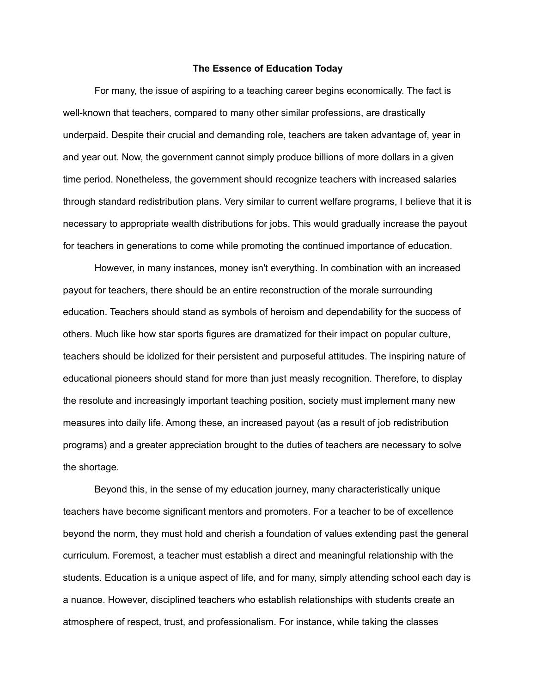## **The Essence of Education Today**

For many, the issue of aspiring to a teaching career begins economically. The fact is well-known that teachers, compared to many other similar professions, are drastically underpaid. Despite their crucial and demanding role, teachers are taken advantage of, year in and year out. Now, the government cannot simply produce billions of more dollars in a given time period. Nonetheless, the government should recognize teachers with increased salaries through standard redistribution plans. Very similar to current welfare programs, I believe that it is necessary to appropriate wealth distributions for jobs. This would gradually increase the payout for teachers in generations to come while promoting the continued importance of education.

However, in many instances, money isn't everything. In combination with an increased payout for teachers, there should be an entire reconstruction of the morale surrounding education. Teachers should stand as symbols of heroism and dependability for the success of others. Much like how star sports figures are dramatized for their impact on popular culture, teachers should be idolized for their persistent and purposeful attitudes. The inspiring nature of educational pioneers should stand for more than just measly recognition. Therefore, to display the resolute and increasingly important teaching position, society must implement many new measures into daily life. Among these, an increased payout (as a result of job redistribution programs) and a greater appreciation brought to the duties of teachers are necessary to solve the shortage.

Beyond this, in the sense of my education journey, many characteristically unique teachers have become significant mentors and promoters. For a teacher to be of excellence beyond the norm, they must hold and cherish a foundation of values extending past the general curriculum. Foremost, a teacher must establish a direct and meaningful relationship with the students. Education is a unique aspect of life, and for many, simply attending school each day is a nuance. However, disciplined teachers who establish relationships with students create an atmosphere of respect, trust, and professionalism. For instance, while taking the classes